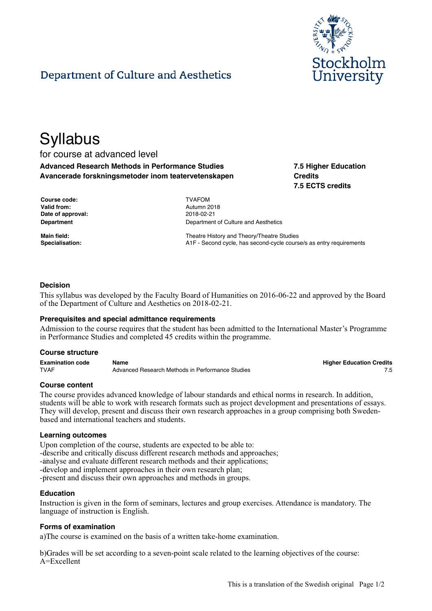

# Department of Culture and Aesthetics

# **Syllabus**

# for course at advanced level **Advanced Research Methods in Performance Studies Avancerade forskningsmetoder inom teatervetenskapen**

**7.5 Higher Education Credits 7.5 ECTS credits**

| Course code:       | <b>TVAFOM</b>   |
|--------------------|-----------------|
| <b>Valid from:</b> | Autumn 2        |
| Date of approval:  | $2018 - 02 - 2$ |
| <b>Department</b>  | Departme        |

**Valid from:** Autumn 2018 **Date of approval:** 2018-02-21 **Department of Culture and Aesthetics** 

**Main field:** Theatre History and Theory/Theatre Studies **Specialisation:** A1F - Second cycle, has second-cycle course/s as entry requirements

## **Decision**

This syllabus was developed by the Faculty Board of Humanities on 2016-06-22 and approved by the Board of the Department of Culture and Aesthetics on 2018-02-21.

#### **Prerequisites and special admittance requirements**

Admission to the course requires that the student has been admitted to the International Master's Programme in Performance Studies and completed 45 credits within the programme.

#### **Course structure**

| <b>Examination code</b> | Name                                             | <b>Higher Education Credits</b> |
|-------------------------|--------------------------------------------------|---------------------------------|
| <b>TVAF</b>             | Advanced Research Methods in Performance Studies |                                 |

#### **Course content**

The course provides advanced knowledge of labour standards and ethical norms in research. In addition, students will be able to work with research formats such as project development and presentations of essays. They will develop, present and discuss their own research approaches in a group comprising both Swedenbased and international teachers and students.

#### **Learning outcomes**

Upon completion of the course, students are expected to be able to: -describe and critically discuss different research methods and approaches; -analyse and evaluate different research methods and their applications; -develop and implement approaches in their own research plan; - $p$  present and discuss their own approaches and methods in groups.

#### **Education**

Instruction is given in the form of seminars, lectures and group exercises. Attendance is mandatory. The language of instruction is English.

#### **Forms of examination**

a) The course is examined on the basis of a written take-home examination.

b) Grades will be set according to a seven-point scale related to the learning objectives of the course: A=Excellent